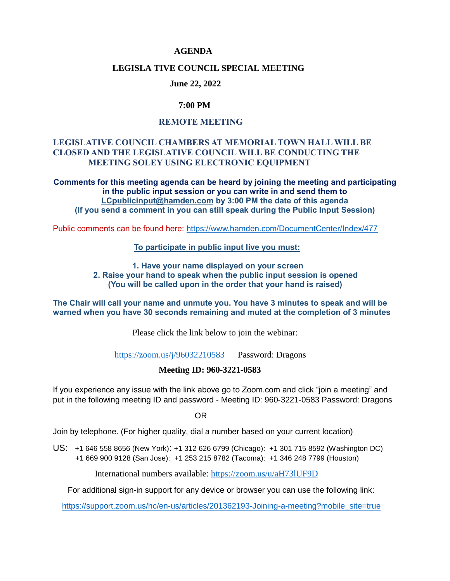### **AGENDA**

### **LEGISLA TIVE COUNCIL SPECIAL MEETING**

#### **June 22, 2022**

### **7:00 PM**

# **REMOTE MEETING**

## **LEGISLATIVE COUNCIL CHAMBERS AT MEMORIAL TOWN HALL WILL BE CLOSED AND THE LEGISLATIVE COUNCIL WILL BE CONDUCTING THE MEETING SOLEY USING ELECTRONIC EQUIPMENT**

**Comments for this meeting agenda can be heard by joining the meeting and participating in the public input session or you can write in and send them to [LCpublicinput@hamden.com](mailto:LCpublicinput@hamden.com) by 3:00 PM the date of this agenda (If you send a comment in you can still speak during the Public Input Session)**

Public comments can be found here:<https://www.hamden.com/DocumentCenter/Index/477>

 **To participate in public input live you must:** 

**1. Have your name displayed on your screen 2. Raise your hand to speak when the public input session is opened (You will be called upon in the order that your hand is raised)** 

**The Chair will call your name and unmute you. You have 3 minutes to speak and will be warned when you have 30 seconds remaining and muted at the completion of 3 minutes**

Please click the link below to join the webinar:

<https://zoom.us/j/96032210583>Password: Dragons

### **Meeting ID: 960-3221-0583**

If you experience any issue with the link above go to Zoom.com and click "join a meeting" and put in the following meeting ID and password - Meeting ID: 960-3221-0583 Password: Dragons

OR

Join by telephone. (For higher quality, dial a number based on your current location)

US: [+1 646 558 8656 \(New York\)](tel:+16465588656): [+1 312 626 6799 \(Chicago\):](tel:+13126266799) [+1 301 715 8592 \(Washington DC\)](tel:+13017158592) +1 669 900 9128 (San Jose): [+1 253 215 8782 \(Tacoma\):](tel:+12532158782) [+1 346 248 7799 \(Houston\)](tel:+13462487799)

International numbers available:<https://zoom.us/u/aH73lUF9D>

For additional sign-in support for any device or browser you can use the following link:

[https://support.zoom.us/hc/en-us/articles/201362193-Joining-a-meeting?mobile\\_site=true](https://support.zoom.us/hc/en-us/articles/201362193-Joining-a-meeting?mobile_site=true)